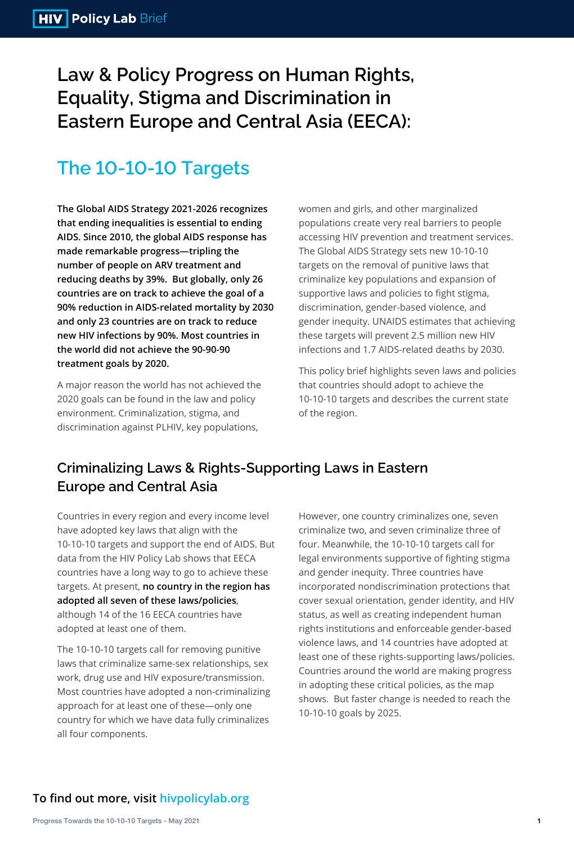**Law & Policy Progress on Human Rights, Equality, Stigma and Discrimination in Eastern Europe and Central Asia (EECA):**

# **The 10-10-10 Targets**

**The Global AIDS Strategy 2021-2026 recognizes that ending inequalities is essential to ending AIDS. Since 2010, the global AIDS response has made remarkable progress—tripling the number of people on ARV treatment and reducing deaths by 39%. But globally, only 26 countries are on track to achieve the goal of a 90% reduction in AIDS-related mortality by 2030 and only 23 countries are on track to reduce new HIV infections by 90%. Most countries in the world did not achieve the 90-90-90 treatment goals by 2020.** 

A major reason the world has not achieved the 2020 goals can be found in the law and policy environment. Criminalization, stigma, and

women and girls, and other marginalized populations create very real barriers to people accessing HIV prevention and treatment services. The Global AIDS Strategy sets new 10-10-10 targets on the removal of punitive laws that criminalize key populations and expansion of supportive laws and policies to fight stigma, discrimination, gender-based violence, and gender inequity. UNAIDS estimates that achieving these targets will prevent 2.5 million new HIV infections and 1.7 AIDS-related deaths by 2030.

This policy brief highlights seven laws and policies that countries should adopt to achieve the 10-10-10 targets and describes the current state of the region.

### **To find out more, visit hivpolicylab.org**

Countries in every region and every income level have adopted key laws that align with the 10-10-10 targets and support the end of AIDS. But data from the HIV Policy Lab shows that EECA countries have a long way to go to achieve these targets. At present, **no country in the region has adopted all seven of these laws/policies**, although 14 of the 16 EECA countries have adopted at least one of them.

The 10-10-10 targets call for removing punitive laws that criminalize same-sex relationships, sex work, drug use and HIV exposure/transmission. Most countries have adopted a non-criminalizing approach for at least one of these—only one country for which we have data fully criminalizes all four components.

However, one country criminalizes one, seven criminalize two, and seven criminalize three of four. Meanwhile, the 10-10-10 targets call for legal environments supportive of fighting stigma and gender inequity. Three countries have incorporated nondiscrimination protections that cover sexual orientation, gender identity, and HIV status, as well as creating independent human rights institutions and enforceable gender-based violence laws, and 14 countries have adopted at least one of these rights-supporting laws/policies. Countries around the world are making progress in adopting these critical policies, as the map shows. But faster change is needed to reach the 10-10-10 goals by 2025.

## **Criminalizing Laws & Rights-Supporting Laws in Eastern Europe and Central Asia**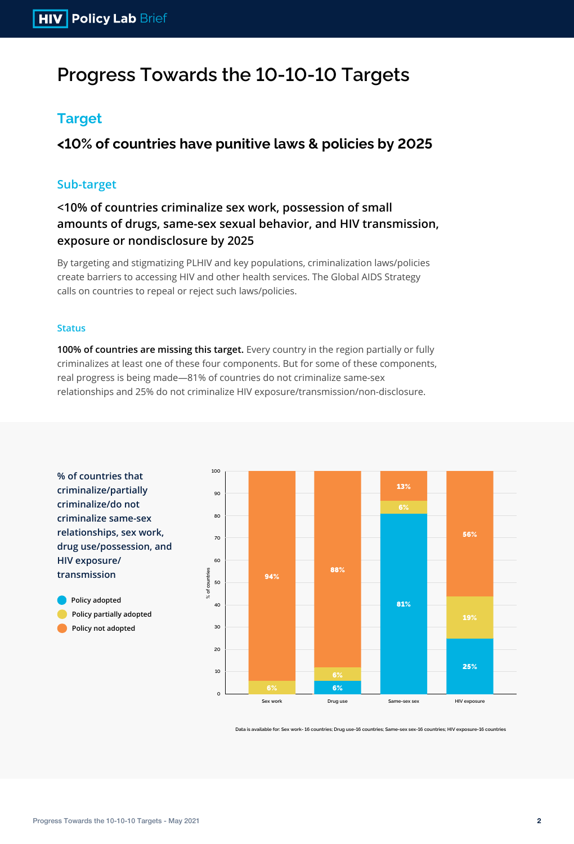**% of countries that criminalize/partially criminalize/do not criminalize same-sex relationships, sex work, drug use/possession, and HIV exposure/ transmission**

**Policy adopted Policy partially adopted Policy not adopted**

# **Progress Towards the 10-10-10 Targets**

## **Target**

**<10% of countries have punitive laws & policies by 2025**

### **Sub-target**

**<10% of countries criminalize sex work, possession of small amounts of drugs, same-sex sexual behavior, and HIV transmission, exposure or nondisclosure by 2025**

### **Status**

**100% of countries are missing this target.** Every country in the region partially or fully criminalizes at least one of these four components. But for some of these components, real progress is being made—81% of countries do not criminalize same-sex relationships and 25% do not criminalize HIV exposure/transmission/non-disclosure.

**Data is available for: Sex work- 16 countries; Drug use-16 countries; Same-sex sex-16 countries; HIV exposure-16 countries**

By targeting and stigmatizing PLHIV and key populations, criminalization laws/policies create barriers to accessing HIV and other health services. The Global AIDS Strategy calls on countries to repeal or reject such laws/policies.

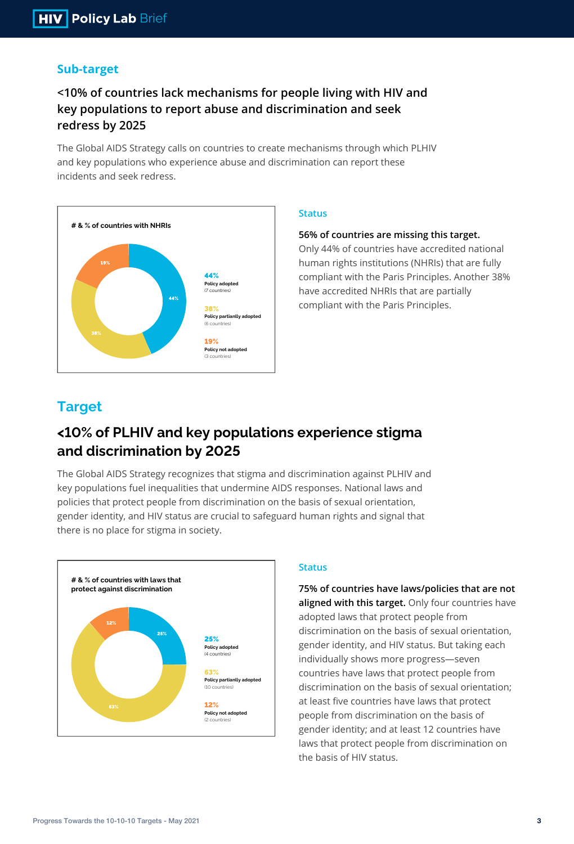

### **Sub-target**

## **<10% of countries lack mechanisms for people living with HIV and key populations to report abuse and discrimination and seek redress by 2025**

The Global AIDS Strategy calls on countries to create mechanisms through which PLHIV and key populations who experience abuse and discrimination can report these incidents and seek redress.

### **Status**

### **56% of countries are missing this target.**

Only 44% of countries have accredited national human rights institutions (NHRIs) that are fully compliant with the Paris Principles. Another 38% have accredited NHRIs that are partially compliant with the Paris Principles.



The Global AIDS Strategy recognizes that stigma and discrimination against PLHIV and key populations fuel inequalities that undermine AIDS responses. National laws and policies that protect people from discrimination on the basis of sexual orientation, gender identity, and HIV status are crucial to safeguard human rights and signal that there is no place for stigma in society.

#### **Status**

**75% of countries have laws/policies that are not aligned with this target.** Only four countries have adopted laws that protect people from discrimination on the basis of sexual orientation, gender identity, and HIV status. But taking each individually shows more progress—seven countries have laws that protect people from discrimination on the basis of sexual orientation; at least five countries have laws that protect people from discrimination on the basis of gender identity; and at least 12 countries have laws that protect people from discrimination on the basis of HIV status.

### **Target**

## **<10% of PLHIV and key populations experience stigma and discrimination by 2025**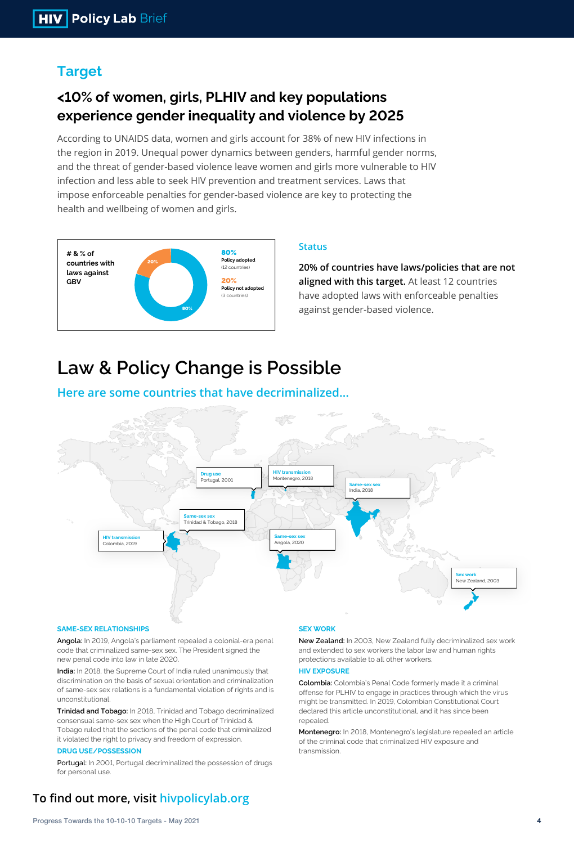

According to UNAIDS data, women and girls account for 38% of new HIV infections in the region in 2019. Unequal power dynamics between genders, harmful gender norms, and the threat of gender-based violence leave women and girls more vulnerable to HIV infection and less able to seek HIV prevention and treatment services. Laws that impose enforceable penalties for gender-based violence are key to protecting the health and wellbeing of women and girls.

### **Status**

-ఇండి చోం

**20% of countries have laws/policies that are not aligned with this target.** At least 12 countries have adopted laws with enforceable penalties against gender-based violence.

## **Target**

## **<10% of women, girls, PLHIV and key populations experience gender inequality and violence by 2025**

#### **SAME-SEX RELATIONSHIPS**

**Angola:** In 2019, Angola's parliament repealed a colonial-era penal code that criminalized same-sex sex. The President signed the new penal code into law in late 2020.

**India:** In 2018, the Supreme Court of India ruled unanimously that discrimination on the basis of sexual orientation and criminalization of same-sex sex relations is a fundamental violation of rights and is unconstitutional.

**Trinidad and Tobago:** In 2018, Trinidad and Tobago decriminalized consensual same-sex sex when the High Court of Trinidad & Tobago ruled that the sections of the penal code that criminalized it violated the right to privacy and freedom of expression.

#### **DRUG USE/POSSESSION**

Portugal: In 2001, Portugal decriminalized the possession of drugs for personal use.

### **To find out more, visit hivpolicylab.org**

#### **SEX WORK**

**New Zealand:** In 2003, New Zealand fully decriminalized sex work and extended to sex workers the labor law and human rights protections available to all other workers.

#### **HIV EXPOSURE**

**Colombia:** Colombia's Penal Code formerly made it a criminal offense for PLHIV to engage in practices through which the virus might be transmitted. In 2019, Colombian Constitutional Court declared this article unconstitutional, and it has since been repealed.

**Montenegro:** In 2018, Montenegro's legislature repealed an article of the criminal code that criminalized HIV exposure and transmission.



# **Law & Policy Change is Possible**

### **Here are some countries that have decriminalized…**